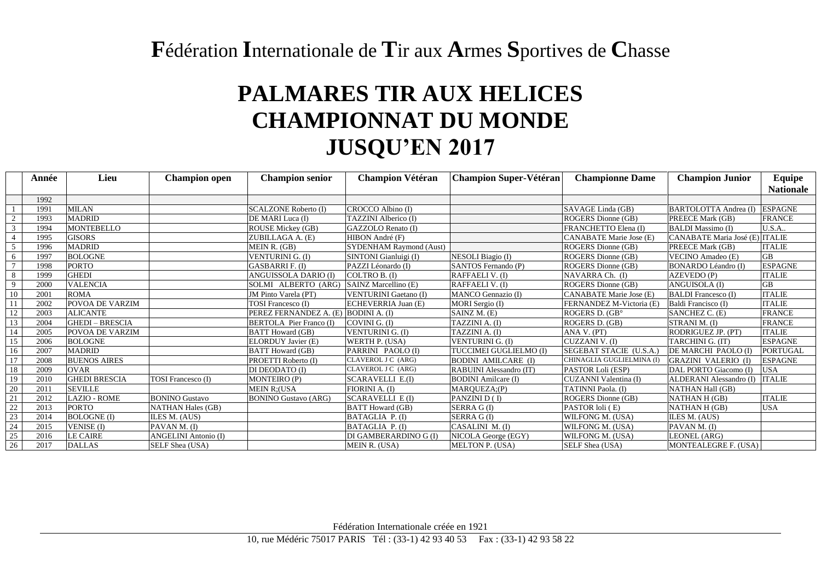## **F**édération **I**nternationale de **T**ir aux **A**rmes **S**portives de **C**hasse

## **PALMARES TIR AUX HELICES CHAMPIONNAT DU MONDE JUSQU'EN 2017**

|    | Année | Lieu                   | <b>Champion open</b>        | <b>Champion senior</b>         | <b>Champion Vétéran</b>        | <b>Champion Super-Vétéran</b> | <b>Championne Dame</b>         | <b>Champion Junior</b>         | Equipe           |
|----|-------|------------------------|-----------------------------|--------------------------------|--------------------------------|-------------------------------|--------------------------------|--------------------------------|------------------|
|    |       |                        |                             |                                |                                |                               |                                |                                | <b>Nationale</b> |
|    | 1992  |                        |                             |                                |                                |                               |                                |                                |                  |
|    | 1991  | <b>MILAN</b>           |                             | <b>SCALZONE Roberto (I)</b>    | CROCCO Albino (I)              |                               | SAVAGE Linda (GB)              | BARTOLOTTA Andrea (I)          | <b>ESPAGNE</b>   |
|    | 1993  | <b>MADRID</b>          |                             | DE MARI Luca (I)               | TAZZINI Alberico (I)           |                               | ROGERS Dionne (GB)             | PREECE Mark (GB)               | <b>FRANCE</b>    |
|    | 1994  | <b>MONTEBELLO</b>      |                             | ROUSE Mickey (GB)              | GAZZOLO Renato (I)             |                               | FRANCHETTO Elena (I)           | <b>BALDI</b> Massimo (I)       | U.S.A.           |
|    | 1995  | <b>GISORS</b>          |                             | ZUBILLAGA A. (E)               | HIBON André (F)                |                               | <b>CANABATE Marie Jose (E)</b> | CANABATE Maria José (E) ITALIE |                  |
|    | 1996  | <b>MADRID</b>          |                             | MEIN R. (GB)                   | <b>SYDENHAM Raymond (Aust)</b> |                               | ROGERS Dionne (GB)             | PREECE Mark (GB)               | <b>ITALIE</b>    |
| -6 | 1997  | <b>BOLOGNE</b>         |                             | VENTURINI G. (I)               | SINTONI Gianluigi (I)          | NESOLI Biagio (I)             | ROGERS Dionne (GB)             | VECINO Amadeo (E)              | GB               |
|    | 1998  | <b>PORTO</b>           |                             | <b>GASBARRIF. (I)</b>          | PAZZI Léonardo (I)             | SANTOS Fernando (P)           | ROGERS Dionne (GB)             | <b>BONARDO Léandro (I)</b>     | <b>ESPAGNE</b>   |
| 8  | 1999  | <b>GHEDI</b>           |                             | ANGUISSOLA DARIO (I)           | COLTRO B. (I)                  | RAFFAELI V. (I)               | NAVARRA Ch. (I)                | AZEVEDO (P)                    | <b>ITALIE</b>    |
| 9  | 2000  | <b>VALENCIA</b>        |                             | SOLMI ALBERTO (ARG)            | SAINZ Marcellino (E)           | RAFFAELI V. (I)               | ROGERS Dionne (GB)             | <b>ANGUISOLA (I)</b>           | <b>GB</b>        |
| 10 | 2001  | <b>ROMA</b>            |                             | JM Pinto Varela (PT)           | <b>VENTURINI Gaetano (I)</b>   | MANCO Gennazio (I)            | CANABATE Marie Jose (E)        | <b>BALDI</b> Francesco (I)     | <b>ITALIE</b>    |
|    | 2002  | POVOA DE VARZIM        |                             | <b>TOSI</b> Francesco (I)      | ECHEVERRIA Juan (E)            | MORI Sergio (I)               | FERNANDEZ M-Victoria (E)       | Baldi Francisco (I)            | <b>ITALIE</b>    |
| 12 | 2003  | <b>ALICANTE</b>        |                             | PEREZ FERNANDEZ A. (E)         | <b>BODINI A. (I)</b>           | SAINZ M. (E)                  | ROGERS D. (GB°                 | SANCHEZ C. (E)                 | <b>FRANCE</b>    |
| 13 | 2004  | <b>GHEDI - BRESCIA</b> |                             | <b>BERTOLA</b> Pier Franco (I) | COVINI G. (I)                  | TAZZINI A. (I)                | ROGERS D. (GB)                 | STRANI M. (I)                  | <b>FRANCE</b>    |
| 14 | 2005  | POVOA DE VARZIM        |                             | <b>BATT</b> Howard (GB)        | VENTURINI G. (I)               | TAZZINI A. (I)                | ANA V. (PT)                    | RODRIGUEZ JP. (PT)             | <b>ITALIE</b>    |
| 15 | 2006  | <b>BOLOGNE</b>         |                             | ELORDUY Javier (E)             | WERTH P. (USA)                 | VENTURINI G. (I)              | CUZZANI V. (I)                 | TARCHINI G. (IT)               | <b>ESPAGNE</b>   |
| 16 | 2007  | <b>MADRID</b>          |                             | <b>BATT Howard (GB)</b>        | PARRINI PAOLO (I)              | TUCCIMEI GUGLIELMO (I)        | SEGEBAT STACIE (U.S.A.         | DE MARCHI PAOLO (I)            | <b>PORTUGAL</b>  |
| 17 | 2008  | <b>BUENOS AIRES</b>    |                             | PROETTI Roberto (I)            | CLAVEROL J C (ARG)             | <b>BODINI AMILCARE (I)</b>    | CHINAGLIA GUGLIELMINA (I)      | <b>GRAZINI VALERIO (I)</b>     | <b>ESPAGNE</b>   |
| 18 | 2009  | <b>OVAR</b>            |                             | DI DEODATO (I)                 | CLAVEROL J C (ARG)             | RABUINI Alessandro (IT)       | PASTOR Loli (ESP)              | DAL PORTO Giacomo (I)          | <b>USA</b>       |
| 19 | 2010  | <b>GHEDI BRESCIA</b>   | <b>TOSI</b> Francesco (I)   | <b>MONTEIRO (P)</b>            | <b>SCARAVELLI E.(I)</b>        | <b>BODINI</b> Amilcare (I)    | CUZANNI Valentina (I)          | ALDERANI Alessandro (I)        | <b>ITALIE</b>    |
| 20 | 201   | <b>SEVILLE</b>         |                             | <b>MEIN R:(USA</b>             | FIORINI A. (I)                 | MARQUEZA;(P)                  | <b>TATINNI Paola.</b> (I)      | <b>NATHAN Hall (GB)</b>        |                  |
| 21 | 2012  | <b>LAZIO - ROME</b>    | <b>BONINO Gustavo</b>       | <b>BONINO Gustavo (ARG)</b>    | <b>SCARAVELLI E (I)</b>        | PANZINI D (I)                 | ROGERS Dionne (GB)             | NATHAN H (GB)                  | <b>ITALIE</b>    |
| 22 | 2013  | <b>PORTO</b>           | <b>NATHAN Hales (GB)</b>    |                                | <b>BATT</b> Howard (GB)        | SERRA G(I)                    | PASTOR loli (E)                | NATHAN H (GB)                  | <b>USA</b>       |
| 23 | 2014  | <b>BOLOGNE</b> (I)     | ILES M. (AUS)               |                                | BATAGLIA P. (I)                | SERRA G(I)                    | WILFONG M. (USA)               | ILES M. (AUS)                  |                  |
| 24 | 2015  | <b>VENISE</b> (I)      | PAVAN M. (I)                |                                | BATAGLIA P. (I)                | CASALINI M. (I)               | WILFONG M. (USA)               | PAVAN M. (I)                   |                  |
| 25 | 2016  | <b>LE CAIRE</b>        | <b>ANGELINI Antonio (I)</b> |                                | DI GAMBERARDINO G (I)          | NICOLA George (EGY)           | WILFONG M. (USA)               | LEONEL (ARG)                   |                  |
| 26 | 2017  | <b>DALLAS</b>          | SELF Shea (USA)             |                                | MEIN R. (USA)                  | <b>MELTON P. (USA)</b>        | SELF Shea (USA)                | MONTEALEGRE F. (USA)           |                  |